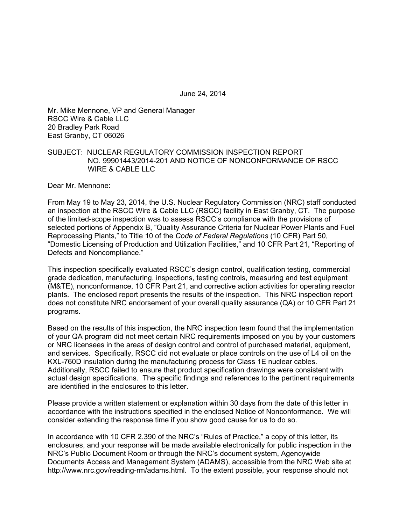June 24, 2014

Mr. Mike Mennone, VP and General Manager RSCC Wire & Cable LLC 20 Bradley Park Road East Granby, CT 06026

### SUBJECT: NUCLEAR REGULATORY COMMISSION INSPECTION REPORT NO. 99901443/2014-201 AND NOTICE OF NONCONFORMANCE OF RSCC WIRE & CABLE LLC

Dear Mr. Mennone:

From May 19 to May 23, 2014, the U.S. Nuclear Regulatory Commission (NRC) staff conducted an inspection at the RSCC Wire & Cable LLC (RSCC) facility in East Granby, CT. The purpose of the limited-scope inspection was to assess RSCC's compliance with the provisions of selected portions of Appendix B, "Quality Assurance Criteria for Nuclear Power Plants and Fuel Reprocessing Plants," to Title 10 of the *Code of Federal Regulations* (10 CFR) Part 50, "Domestic Licensing of Production and Utilization Facilities," and 10 CFR Part 21, "Reporting of Defects and Noncompliance."

This inspection specifically evaluated RSCC's design control, qualification testing, commercial grade dedication, manufacturing, inspections, testing controls, measuring and test equipment (M&TE), nonconformance, 10 CFR Part 21, and corrective action activities for operating reactor plants. The enclosed report presents the results of the inspection. This NRC inspection report does not constitute NRC endorsement of your overall quality assurance (QA) or 10 CFR Part 21 programs.

Based on the results of this inspection, the NRC inspection team found that the implementation of your QA program did not meet certain NRC requirements imposed on you by your customers or NRC licensees in the areas of design control and control of purchased material, equipment, and services. Specifically, RSCC did not evaluate or place controls on the use of L4 oil on the KXL-760D insulation during the manufacturing process for Class 1E nuclear cables. Additionally, RSCC failed to ensure that product specification drawings were consistent with actual design specifications. The specific findings and references to the pertinent requirements are identified in the enclosures to this letter.

Please provide a written statement or explanation within 30 days from the date of this letter in accordance with the instructions specified in the enclosed Notice of Nonconformance. We will consider extending the response time if you show good cause for us to do so.

In accordance with 10 CFR 2.390 of the NRC's "Rules of Practice," a copy of this letter, its enclosures, and your response will be made available electronically for public inspection in the NRC's Public Document Room or through the NRC's document system, Agencywide Documents Access and Management System (ADAMS), accessible from the NRC Web site at http://www.nrc.gov/reading-rm/adams.html. To the extent possible, your response should not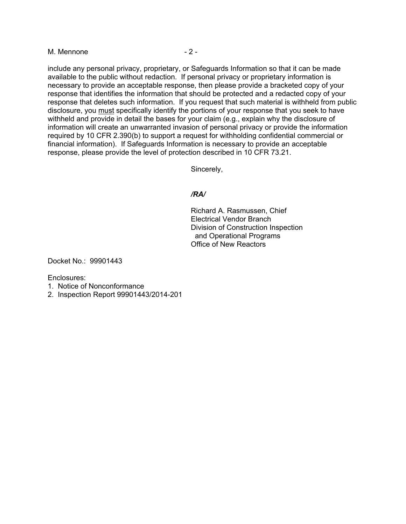#### M. Mennone  $-2$  -

include any personal privacy, proprietary, or Safeguards Information so that it can be made available to the public without redaction. If personal privacy or proprietary information is necessary to provide an acceptable response, then please provide a bracketed copy of your response that identifies the information that should be protected and a redacted copy of your response that deletes such information. If you request that such material is withheld from public disclosure, you must specifically identify the portions of your response that you seek to have withheld and provide in detail the bases for your claim (e.g., explain why the disclosure of information will create an unwarranted invasion of personal privacy or provide the information required by 10 CFR 2.390(b) to support a request for withholding confidential commercial or financial information). If Safeguards Information is necessary to provide an acceptable response, please provide the level of protection described in 10 CFR 73.21.

Sincerely,

### */RA/*

Richard A. Rasmussen, Chief Electrical Vendor Branch Division of Construction Inspection and Operational Programs Office of New Reactors

Docket No.: 99901443

Enclosures:

- 1. Notice of Nonconformance
- 2. Inspection Report 99901443/2014-201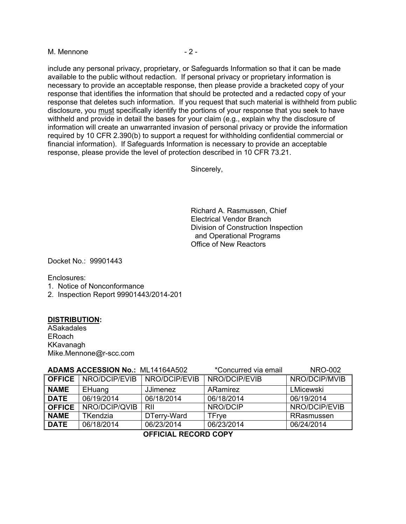M. Mennone  $-2$  -

include any personal privacy, proprietary, or Safeguards Information so that it can be made available to the public without redaction. If personal privacy or proprietary information is necessary to provide an acceptable response, then please provide a bracketed copy of your response that identifies the information that should be protected and a redacted copy of your response that deletes such information. If you request that such material is withheld from public disclosure, you must specifically identify the portions of your response that you seek to have withheld and provide in detail the bases for your claim (e.g., explain why the disclosure of information will create an unwarranted invasion of personal privacy or provide the information required by 10 CFR 2.390(b) to support a request for withholding confidential commercial or financial information). If Safeguards Information is necessary to provide an acceptable response, please provide the level of protection described in 10 CFR 73.21.

Sincerely,

Richard A. Rasmussen, Chief Electrical Vendor Branch Division of Construction Inspection and Operational Programs Office of New Reactors

Docket No.: 99901443

Enclosures:

- 1. Notice of Nonconformance
- 2. Inspection Report 99901443/2014-201

### **DISTRIBUTION:**

**ASakadales** ERoach KKavanagh Mike.Mennone@r-scc.com

| ADAMS ACCESSION No.: ML14164A502 |                             |                 | *Concurred via email | <b>NRO-002</b> |
|----------------------------------|-----------------------------|-----------------|----------------------|----------------|
|                                  | <b>OFFICE</b> NRO/DCIP/EVIB | NRO/DCIP/EVIB   | NRO/DCIP/EVIB        | NRO/DCIP/MVIB  |
| <b>NAME</b>                      | EHuang                      | <b>JJimenez</b> | ARamirez             | LMicewski      |
| <b>DATE</b>                      | 06/19/2014                  | 06/18/2014      | 06/18/2014           | 06/19/2014     |
| <b>OFFICE</b>                    | NRO/DCIP/QVIB               | RII             | NRO/DCIP             | NRO/DCIP/EVIB  |
| <b>NAME</b>                      | <b>TKendzia</b>             | DTerry-Ward     | <b>TFrye</b>         | RRasmussen     |
| <b>DATE</b>                      | 06/18/2014                  | 06/23/2014      | 06/23/2014           | 06/24/2014     |
|                                  |                             |                 |                      |                |

# **OFFICIAL RECORD COPY**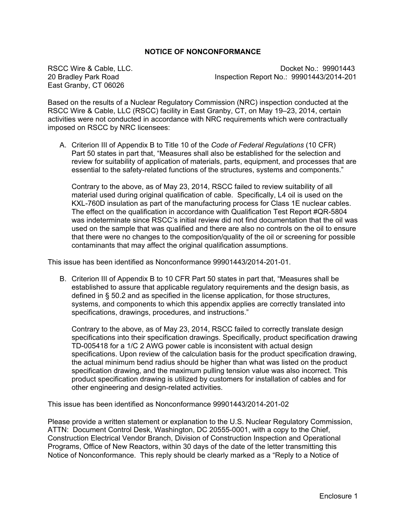# **NOTICE OF NONCONFORMANCE**

East Granby, CT 06026

RSCC Wire & Cable, LLC. Docket No.: 99901443 20 Bradley Park Road Inspection Report No.: 99901443/2014-201

Based on the results of a Nuclear Regulatory Commission (NRC) inspection conducted at the RSCC Wire & Cable, LLC (RSCC) facility in East Granby, CT, on May 19–23, 2014, certain activities were not conducted in accordance with NRC requirements which were contractually imposed on RSCC by NRC licensees:

A. Criterion III of Appendix B to Title 10 of the *Code of Federal Regulations* (10 CFR) Part 50 states in part that, "Measures shall also be established for the selection and review for suitability of application of materials, parts, equipment, and processes that are essential to the safety-related functions of the structures, systems and components."

Contrary to the above, as of May 23, 2014, RSCC failed to review suitability of all material used during original qualification of cable. Specifically, L4 oil is used on the KXL-760D insulation as part of the manufacturing process for Class 1E nuclear cables. The effect on the qualification in accordance with Qualification Test Report #QR-5804 was indeterminate since RSCC's initial review did not find documentation that the oil was used on the sample that was qualified and there are also no controls on the oil to ensure that there were no changes to the composition/quality of the oil or screening for possible contaminants that may affect the original qualification assumptions.

This issue has been identified as Nonconformance 99901443/2014-201-01.

B. Criterion III of Appendix B to 10 CFR Part 50 states in part that, "Measures shall be established to assure that applicable regulatory requirements and the design basis, as defined in § 50.2 and as specified in the license application, for those structures, systems, and components to which this appendix applies are correctly translated into specifications, drawings, procedures, and instructions."

Contrary to the above, as of May 23, 2014, RSCC failed to correctly translate design specifications into their specification drawings. Specifically, product specification drawing TD-005418 for a 1/C 2 AWG power cable is inconsistent with actual design specifications. Upon review of the calculation basis for the product specification drawing, the actual minimum bend radius should be higher than what was listed on the product specification drawing, and the maximum pulling tension value was also incorrect. This product specification drawing is utilized by customers for installation of cables and for other engineering and design-related activities.

This issue has been identified as Nonconformance 99901443/2014-201-02

Please provide a written statement or explanation to the U.S. Nuclear Regulatory Commission, ATTN: Document Control Desk, Washington, DC 20555-0001, with a copy to the Chief, Construction Electrical Vendor Branch, Division of Construction Inspection and Operational Programs, Office of New Reactors, within 30 days of the date of the letter transmitting this Notice of Nonconformance. This reply should be clearly marked as a "Reply to a Notice of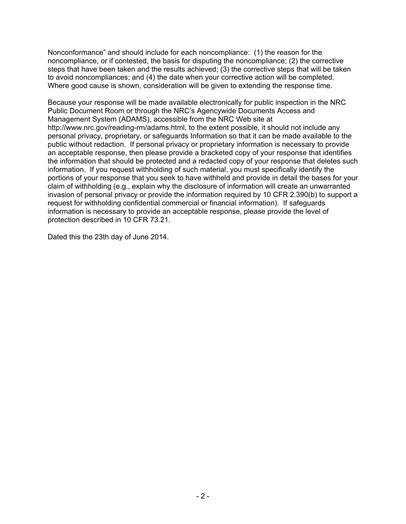Nonconformance" and should include for each noncompliance: (1) the reason for the noncompliance, or if contested, the basis for disputing the noncompliance; (2) the corrective steps that have been taken and the results achieved; (3) the corrective steps that will be taken to avoid noncompliances; and (4) the date when your corrective action will be completed. Where good cause is shown, consideration will be given to extending the response time.

Because your response will be made available electronically for public inspection in the NRC Public Document Room or through the NRC's Agencywide Documents Access and Management System (ADAMS), accessible from the NRC Web site at http://www.nrc.gov/reading-rm/adams.html, to the extent possible, it should not include any personal privacy, proprietary, or safeguards Information so that it can be made available to the public without redaction. If personal privacy or proprietary information is necessary to provide an acceptable response, then please provide a bracketed copy of your response that identifies the information that should be protected and a redacted copy of your response that deletes such information. If you request withholding of such material, you must specifically identify the portions of your response that you seek to have withheld and provide in detail the bases for your claim of withholding (e.g., explain why the disclosure of information will create an unwarranted invasion of personal privacy or provide the information required by 10 CFR 2.390(b) to support a request for withholding confidential commercial or financial information). If safeguards information is necessary to provide an acceptable response, please provide the level of protection described in 10 CFR 73.21.

Dated this the 23th day of June 2014.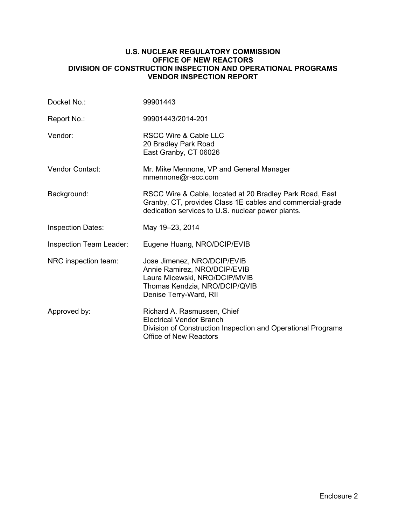### **U.S. NUCLEAR REGULATORY COMMISSION OFFICE OF NEW REACTORS DIVISION OF CONSTRUCTION INSPECTION AND OPERATIONAL PROGRAMS VENDOR INSPECTION REPORT**

| Docket No.:              | 99901443                                                                                                                                                                   |
|--------------------------|----------------------------------------------------------------------------------------------------------------------------------------------------------------------------|
| Report No.:              | 99901443/2014-201                                                                                                                                                          |
| Vendor:                  | <b>RSCC Wire &amp; Cable LLC</b><br>20 Bradley Park Road<br>East Granby, CT 06026                                                                                          |
| <b>Vendor Contact:</b>   | Mr. Mike Mennone, VP and General Manager<br>mmennone@r-scc.com                                                                                                             |
| Background:              | RSCC Wire & Cable, located at 20 Bradley Park Road, East<br>Granby, CT, provides Class 1E cables and commercial-grade<br>dedication services to U.S. nuclear power plants. |
| <b>Inspection Dates:</b> | May 19-23, 2014                                                                                                                                                            |
| Inspection Team Leader:  | Eugene Huang, NRO/DCIP/EVIB                                                                                                                                                |
| NRC inspection team:     | Jose Jimenez, NRO/DCIP/EVIB<br>Annie Ramirez, NRO/DCIP/EVIB<br>Laura Micewski, NRO/DCIP/MVIB<br>Thomas Kendzia, NRO/DCIP/QVIB<br>Denise Terry-Ward, RII                    |
| Approved by:             | Richard A. Rasmussen, Chief<br><b>Electrical Vendor Branch</b><br>Division of Construction Inspection and Operational Programs<br><b>Office of New Reactors</b>            |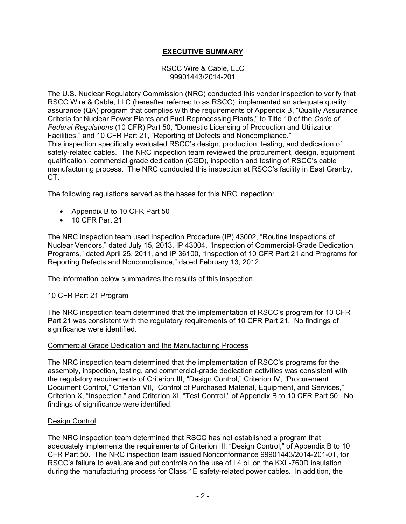# **EXECUTIVE SUMMARY**

### RSCC Wire & Cable, LLC 99901443/2014-201

The U.S. Nuclear Regulatory Commission (NRC) conducted this vendor inspection to verify that RSCC Wire & Cable, LLC (hereafter referred to as RSCC), implemented an adequate quality assurance (QA) program that complies with the requirements of Appendix B, "Quality Assurance Criteria for Nuclear Power Plants and Fuel Reprocessing Plants," to Title 10 of the *Code of Federal Regulations* (10 CFR) Part 50, "Domestic Licensing of Production and Utilization Facilities," and 10 CFR Part 21, "Reporting of Defects and Noncompliance." This inspection specifically evaluated RSCC's design, production, testing, and dedication of safety-related cables. The NRC inspection team reviewed the procurement, design, equipment qualification, commercial grade dedication (CGD), inspection and testing of RSCC's cable manufacturing process. The NRC conducted this inspection at RSCC's facility in East Granby, CT.

The following regulations served as the bases for this NRC inspection:

- Appendix B to 10 CFR Part 50
- 10 CFR Part 21

The NRC inspection team used Inspection Procedure (IP) 43002, "Routine Inspections of Nuclear Vendors," dated July 15, 2013, IP 43004, "Inspection of Commercial-Grade Dedication Programs," dated April 25, 2011, and IP 36100, "Inspection of 10 CFR Part 21 and Programs for Reporting Defects and Noncompliance," dated February 13, 2012.

The information below summarizes the results of this inspection.

# 10 CFR Part 21 Program

The NRC inspection team determined that the implementation of RSCC's program for 10 CFR Part 21 was consistent with the regulatory requirements of 10 CFR Part 21. No findings of significance were identified.

### Commercial Grade Dedication and the Manufacturing Process

The NRC inspection team determined that the implementation of RSCC's programs for the assembly, inspection, testing, and commercial-grade dedication activities was consistent with the regulatory requirements of Criterion III, "Design Control," Criterion IV, "Procurement Document Control," Criterion VII, "Control of Purchased Material, Equipment, and Services," Criterion X, "Inspection," and Criterion XI, "Test Control," of Appendix B to 10 CFR Part 50. No findings of significance were identified.

### Design Control

The NRC inspection team determined that RSCC has not established a program that adequately implements the requirements of Criterion III, "Design Control," of Appendix B to 10 CFR Part 50. The NRC inspection team issued Nonconformance 99901443/2014-201-01, for RSCC's failure to evaluate and put controls on the use of L4 oil on the KXL-760D insulation during the manufacturing process for Class 1E safety-related power cables. In addition, the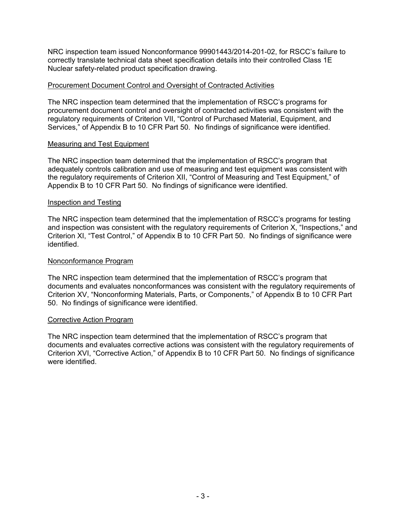NRC inspection team issued Nonconformance 99901443/2014-201-02, for RSCC's failure to correctly translate technical data sheet specification details into their controlled Class 1E Nuclear safety-related product specification drawing.

## Procurement Document Control and Oversight of Contracted Activities

The NRC inspection team determined that the implementation of RSCC's programs for procurement document control and oversight of contracted activities was consistent with the regulatory requirements of Criterion VII, "Control of Purchased Material, Equipment, and Services," of Appendix B to 10 CFR Part 50. No findings of significance were identified.

## Measuring and Test Equipment

The NRC inspection team determined that the implementation of RSCC's program that adequately controls calibration and use of measuring and test equipment was consistent with the regulatory requirements of Criterion XII, "Control of Measuring and Test Equipment," of Appendix B to 10 CFR Part 50. No findings of significance were identified.

### Inspection and Testing

The NRC inspection team determined that the implementation of RSCC's programs for testing and inspection was consistent with the regulatory requirements of Criterion X, "Inspections," and Criterion XI, "Test Control," of Appendix B to 10 CFR Part 50. No findings of significance were identified.

### Nonconformance Program

The NRC inspection team determined that the implementation of RSCC's program that documents and evaluates nonconformances was consistent with the regulatory requirements of Criterion XV, "Nonconforming Materials, Parts, or Components," of Appendix B to 10 CFR Part 50. No findings of significance were identified.

### Corrective Action Program

The NRC inspection team determined that the implementation of RSCC's program that documents and evaluates corrective actions was consistent with the regulatory requirements of Criterion XVI, "Corrective Action," of Appendix B to 10 CFR Part 50. No findings of significance were identified.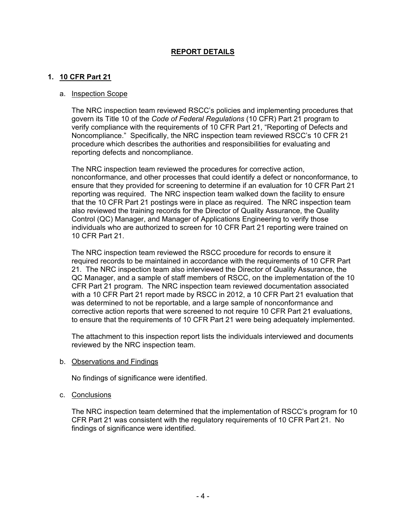# **REPORT DETAILS**

# **1. 10 CFR Part 21**

#### a. Inspection Scope

The NRC inspection team reviewed RSCC's policies and implementing procedures that govern its Title 10 of the *Code of Federal Regulations* (10 CFR) Part 21 program to verify compliance with the requirements of 10 CFR Part 21, "Reporting of Defects and Noncompliance." Specifically, the NRC inspection team reviewed RSCC's 10 CFR 21 procedure which describes the authorities and responsibilities for evaluating and reporting defects and noncompliance.

The NRC inspection team reviewed the procedures for corrective action, nonconformance, and other processes that could identify a defect or nonconformance, to ensure that they provided for screening to determine if an evaluation for 10 CFR Part 21 reporting was required. The NRC inspection team walked down the facility to ensure that the 10 CFR Part 21 postings were in place as required. The NRC inspection team also reviewed the training records for the Director of Quality Assurance, the Quality Control (QC) Manager, and Manager of Applications Engineering to verify those individuals who are authorized to screen for 10 CFR Part 21 reporting were trained on 10 CFR Part 21.

The NRC inspection team reviewed the RSCC procedure for records to ensure it required records to be maintained in accordance with the requirements of 10 CFR Part 21. The NRC inspection team also interviewed the Director of Quality Assurance, the QC Manager, and a sample of staff members of RSCC, on the implementation of the 10 CFR Part 21 program. The NRC inspection team reviewed documentation associated with a 10 CFR Part 21 report made by RSCC in 2012, a 10 CFR Part 21 evaluation that was determined to not be reportable, and a large sample of nonconformance and corrective action reports that were screened to not require 10 CFR Part 21 evaluations, to ensure that the requirements of 10 CFR Part 21 were being adequately implemented.

The attachment to this inspection report lists the individuals interviewed and documents reviewed by the NRC inspection team.

b. Observations and Findings

No findings of significance were identified.

c. Conclusions

The NRC inspection team determined that the implementation of RSCC's program for 10 CFR Part 21 was consistent with the regulatory requirements of 10 CFR Part 21. No findings of significance were identified.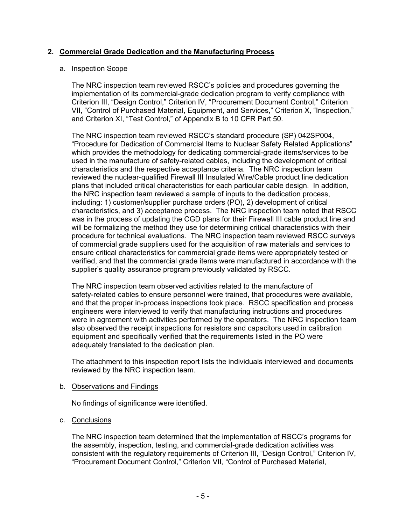# **2. Commercial Grade Dedication and the Manufacturing Process**

## a. Inspection Scope

The NRC inspection team reviewed RSCC's policies and procedures governing the implementation of its commercial-grade dedication program to verify compliance with Criterion III, "Design Control," Criterion IV, "Procurement Document Control," Criterion VII, "Control of Purchased Material, Equipment, and Services," Criterion X, "Inspection," and Criterion XI, "Test Control," of Appendix B to 10 CFR Part 50.

The NRC inspection team reviewed RSCC's standard procedure (SP) 042SP004, "Procedure for Dedication of Commercial Items to Nuclear Safety Related Applications" which provides the methodology for dedicating commercial-grade items/services to be used in the manufacture of safety-related cables, including the development of critical characteristics and the respective acceptance criteria. The NRC inspection team reviewed the nuclear-qualified Firewall III Insulated Wire/Cable product line dedication plans that included critical characteristics for each particular cable design. In addition, the NRC inspection team reviewed a sample of inputs to the dedication process, including: 1) customer/supplier purchase orders (PO), 2) development of critical characteristics, and 3) acceptance process. The NRC inspection team noted that RSCC was in the process of updating the CGD plans for their Firewall III cable product line and will be formalizing the method they use for determining critical characteristics with their procedure for technical evaluations. The NRC inspection team reviewed RSCC surveys of commercial grade suppliers used for the acquisition of raw materials and services to ensure critical characteristics for commercial grade items were appropriately tested or verified, and that the commercial grade items were manufactured in accordance with the supplier's quality assurance program previously validated by RSCC.

The NRC inspection team observed activities related to the manufacture of safety-related cables to ensure personnel were trained, that procedures were available, and that the proper in-process inspections took place. RSCC specification and process engineers were interviewed to verify that manufacturing instructions and procedures were in agreement with activities performed by the operators. The NRC inspection team also observed the receipt inspections for resistors and capacitors used in calibration equipment and specifically verified that the requirements listed in the PO were adequately translated to the dedication plan.

The attachment to this inspection report lists the individuals interviewed and documents reviewed by the NRC inspection team.

### b. Observations and Findings

No findings of significance were identified.

# c. Conclusions

The NRC inspection team determined that the implementation of RSCC's programs for the assembly, inspection, testing, and commercial-grade dedication activities was consistent with the regulatory requirements of Criterion III, "Design Control," Criterion IV, "Procurement Document Control," Criterion VII, "Control of Purchased Material,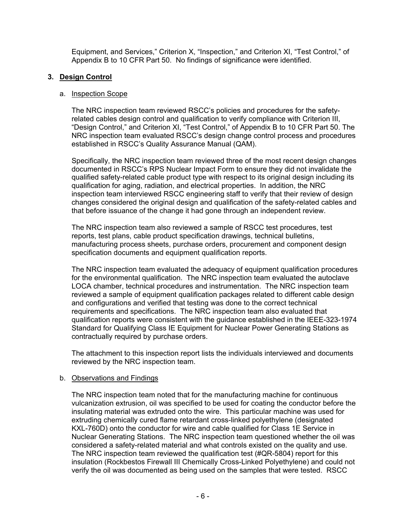Equipment, and Services," Criterion X, "Inspection," and Criterion XI, "Test Control," of Appendix B to 10 CFR Part 50. No findings of significance were identified.

# **3. Design Control**

## a. Inspection Scope

The NRC inspection team reviewed RSCC's policies and procedures for the safetyrelated cables design control and qualification to verify compliance with Criterion III, "Design Control," and Criterion XI, "Test Control," of Appendix B to 10 CFR Part 50. The NRC inspection team evaluated RSCC's design change control process and procedures established in RSCC's Quality Assurance Manual (QAM).

Specifically, the NRC inspection team reviewed three of the most recent design changes documented in RSCC's RPS Nuclear Impact Form to ensure they did not invalidate the qualified safety-related cable product type with respect to its original design including its qualification for aging, radiation, and electrical properties. In addition, the NRC inspection team interviewed RSCC engineering staff to verify that their review of design changes considered the original design and qualification of the safety-related cables and that before issuance of the change it had gone through an independent review.

The NRC inspection team also reviewed a sample of RSCC test procedures, test reports, test plans, cable product specification drawings, technical bulletins, manufacturing process sheets, purchase orders, procurement and component design specification documents and equipment qualification reports.

The NRC inspection team evaluated the adequacy of equipment qualification procedures for the environmental qualification. The NRC inspection team evaluated the autoclave LOCA chamber, technical procedures and instrumentation. The NRC inspection team reviewed a sample of equipment qualification packages related to different cable design and configurations and verified that testing was done to the correct technical requirements and specifications. The NRC inspection team also evaluated that qualification reports were consistent with the guidance established in the IEEE-323-1974 Standard for Qualifying Class IE Equipment for Nuclear Power Generating Stations as contractually required by purchase orders.

The attachment to this inspection report lists the individuals interviewed and documents reviewed by the NRC inspection team.

# b. Observations and Findings

The NRC inspection team noted that for the manufacturing machine for continuous vulcanization extrusion, oil was specified to be used for coating the conductor before the insulating material was extruded onto the wire. This particular machine was used for extruding chemically cured flame retardant cross-linked polyethylene (designated KXL-760D) onto the conductor for wire and cable qualified for Class 1E Service in Nuclear Generating Stations. The NRC inspection team questioned whether the oil was considered a safety-related material and what controls existed on the quality and use. The NRC inspection team reviewed the qualification test (#QR-5804) report for this insulation (Rockbestos Firewall III Chemically Cross-Linked Polyethylene) and could not verify the oil was documented as being used on the samples that were tested. RSCC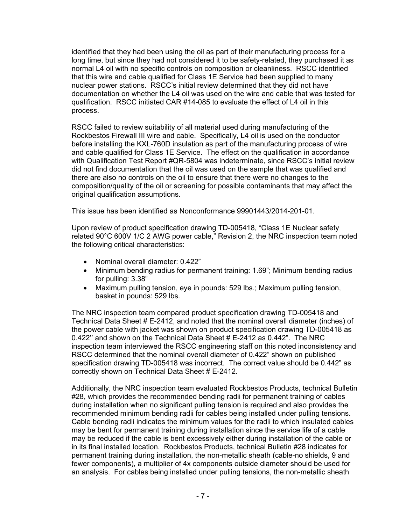identified that they had been using the oil as part of their manufacturing process for a long time, but since they had not considered it to be safety-related, they purchased it as normal L4 oil with no specific controls on composition or cleanliness. RSCC identified that this wire and cable qualified for Class 1E Service had been supplied to many nuclear power stations. RSCC's initial review determined that they did not have documentation on whether the L4 oil was used on the wire and cable that was tested for qualification. RSCC initiated CAR #14-085 to evaluate the effect of L4 oil in this process.

RSCC failed to review suitability of all material used during manufacturing of the Rockbestos Firewall III wire and cable. Specifically, L4 oil is used on the conductor before installing the KXL-760D insulation as part of the manufacturing process of wire and cable qualified for Class 1E Service. The effect on the qualification in accordance with Qualification Test Report #QR-5804 was indeterminate, since RSCC's initial review did not find documentation that the oil was used on the sample that was qualified and there are also no controls on the oil to ensure that there were no changes to the composition/quality of the oil or screening for possible contaminants that may affect the original qualification assumptions.

This issue has been identified as Nonconformance 99901443/2014-201-01.

Upon review of product specification drawing TD-005418, "Class 1E Nuclear safety related 90°C 600V 1/C 2 AWG power cable," Revision 2, the NRC inspection team noted the following critical characteristics:

- Nominal overall diameter: 0.422"
- Minimum bending radius for permanent training: 1.69"; Minimum bending radius for pulling: 3.38"
- Maximum pulling tension, eye in pounds: 529 lbs.; Maximum pulling tension, basket in pounds: 529 lbs.

The NRC inspection team compared product specification drawing TD-005418 and Technical Data Sheet # E-2412, and noted that the nominal overall diameter (inches) of the power cable with jacket was shown on product specification drawing TD-005418 as 0.422'' and shown on the Technical Data Sheet # E-2412 as 0.442". The NRC inspection team interviewed the RSCC engineering staff on this noted inconsistency and RSCC determined that the nominal overall diameter of 0.422" shown on published specification drawing TD-005418 was incorrect. The correct value should be 0.442" as correctly shown on Technical Data Sheet # E-2412.

Additionally, the NRC inspection team evaluated Rockbestos Products, technical Bulletin #28, which provides the recommended bending radii for permanent training of cables during installation when no significant pulling tension is required and also provides the recommended minimum bending radii for cables being installed under pulling tensions. Cable bending radii indicates the minimum values for the radii to which insulated cables may be bent for permanent training during installation since the service life of a cable may be reduced if the cable is bent excessively either during installation of the cable or in its final installed location. Rockbestos Products, technical Bulletin #28 indicates for permanent training during installation, the non-metallic sheath (cable-no shields, 9 and fewer components), a multiplier of 4x components outside diameter should be used for an analysis. For cables being installed under pulling tensions, the non-metallic sheath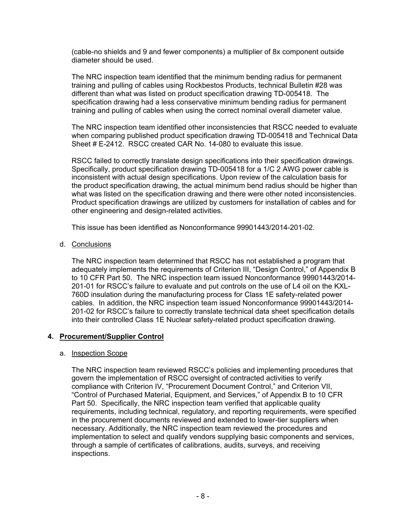(cable-no shields and 9 and fewer components) a multiplier of 8x component outside diameter should be used.

The NRC inspection team identified that the minimum bending radius for permanent training and pulling of cables using Rockbestos Products, technical Bulletin #28 was different than what was listed on product specification drawing TD-005418. The specification drawing had a less conservative minimum bending radius for permanent training and pulling of cables when using the correct nominal overall diameter value.

The NRC inspection team identified other inconsistencies that RSCC needed to evaluate when comparing published product specification drawing TD-005418 and Technical Data Sheet # E-2412. RSCC created CAR No. 14-080 to evaluate this issue.

RSCC failed to correctly translate design specifications into their specification drawings. Specifically, product specification drawing TD-005418 for a 1/C 2 AWG power cable is inconsistent with actual design specifications. Upon review of the calculation basis for the product specification drawing, the actual minimum bend radius should be higher than what was listed on the specification drawing and there were other noted inconsistencies. Product specification drawings are utilized by customers for installation of cables and for other engineering and design-related activities.

This issue has been identified as Nonconformance 99901443/2014-201-02.

d. Conclusions

The NRC inspection team determined that RSCC has not established a program that adequately implements the requirements of Criterion III, "Design Control," of Appendix B to 10 CFR Part 50. The NRC inspection team issued Nonconformance 99901443/2014- 201-01 for RSCC's failure to evaluate and put controls on the use of L4 oil on the KXL-760D insulation during the manufacturing process for Class 1E safety-related power cables. In addition, the NRC inspection team issued Nonconformance 99901443/2014- 201-02 for RSCC's failure to correctly translate technical data sheet specification details into their controlled Class 1E Nuclear safety-related product specification drawing.

# **4. Procurement/Supplier Control**

### a. Inspection Scope

The NRC inspection team reviewed RSCC's policies and implementing procedures that govern the implementation of RSCC oversight of contracted activities to verify compliance with Criterion IV, "Procurement Document Control," and Criterion VII, "Control of Purchased Material, Equipment, and Services," of Appendix B to 10 CFR Part 50. Specifically, the NRC inspection team verified that applicable quality requirements, including technical, regulatory, and reporting requirements, were specified in the procurement documents reviewed and extended to lower-tier suppliers when necessary. Additionally, the NRC inspection team reviewed the procedures and implementation to select and qualify vendors supplying basic components and services, through a sample of certificates of calibrations, audits, surveys, and receiving inspections.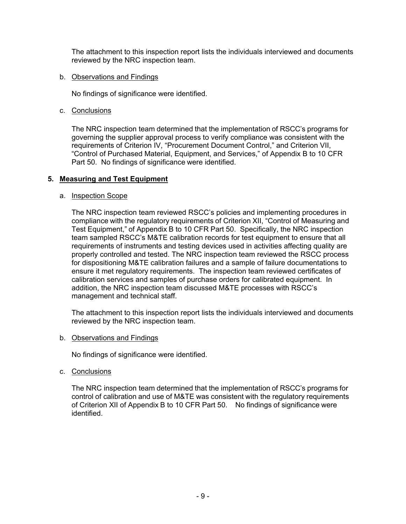The attachment to this inspection report lists the individuals interviewed and documents reviewed by the NRC inspection team.

## b. Observations and Findings

No findings of significance were identified.

## c. Conclusions

The NRC inspection team determined that the implementation of RSCC's programs for governing the supplier approval process to verify compliance was consistent with the requirements of Criterion IV, "Procurement Document Control," and Criterion VII, "Control of Purchased Material, Equipment, and Services," of Appendix B to 10 CFR Part 50. No findings of significance were identified.

# **5. Measuring and Test Equipment**

## a. Inspection Scope

The NRC inspection team reviewed RSCC's policies and implementing procedures in compliance with the regulatory requirements of Criterion XII, "Control of Measuring and Test Equipment," of Appendix B to 10 CFR Part 50. Specifically, the NRC inspection team sampled RSCC's M&TE calibration records for test equipment to ensure that all requirements of instruments and testing devices used in activities affecting quality are properly controlled and tested. The NRC inspection team reviewed the RSCC process for dispositioning M&TE calibration failures and a sample of failure documentations to ensure it met regulatory requirements. The inspection team reviewed certificates of calibration services and samples of purchase orders for calibrated equipment. In addition, the NRC inspection team discussed M&TE processes with RSCC's management and technical staff.

The attachment to this inspection report lists the individuals interviewed and documents reviewed by the NRC inspection team.

### b. Observations and Findings

No findings of significance were identified.

c. Conclusions

The NRC inspection team determined that the implementation of RSCC's programs for control of calibration and use of M&TE was consistent with the regulatory requirements of Criterion XII of Appendix B to 10 CFR Part 50. No findings of significance were identified.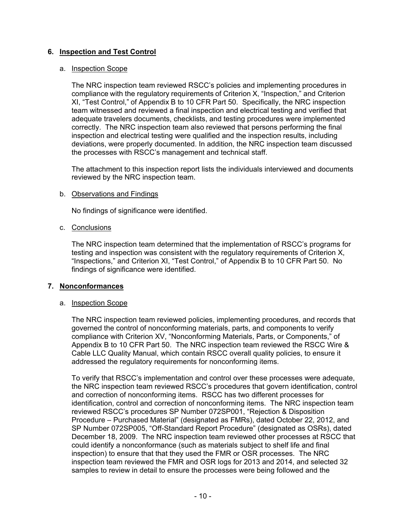# **6. Inspection and Test Control**

## a. Inspection Scope

The NRC inspection team reviewed RSCC's policies and implementing procedures in compliance with the regulatory requirements of Criterion X, "Inspection," and Criterion XI, "Test Control," of Appendix B to 10 CFR Part 50. Specifically, the NRC inspection team witnessed and reviewed a final inspection and electrical testing and verified that adequate travelers documents, checklists, and testing procedures were implemented correctly. The NRC inspection team also reviewed that persons performing the final inspection and electrical testing were qualified and the inspection results, including deviations, were properly documented. In addition, the NRC inspection team discussed the processes with RSCC's management and technical staff.

The attachment to this inspection report lists the individuals interviewed and documents reviewed by the NRC inspection team.

## b. Observations and Findings

No findings of significance were identified.

## c. Conclusions

The NRC inspection team determined that the implementation of RSCC's programs for testing and inspection was consistent with the regulatory requirements of Criterion X, "Inspections," and Criterion XI, "Test Control," of Appendix B to 10 CFR Part 50. No findings of significance were identified.

### **7. Nonconformances**

### a. Inspection Scope

The NRC inspection team reviewed policies, implementing procedures, and records that governed the control of nonconforming materials, parts, and components to verify compliance with Criterion XV, "Nonconforming Materials, Parts, or Components," of Appendix B to 10 CFR Part 50. The NRC inspection team reviewed the RSCC Wire & Cable LLC Quality Manual, which contain RSCC overall quality policies, to ensure it addressed the regulatory requirements for nonconforming items.

To verify that RSCC's implementation and control over these processes were adequate, the NRC inspection team reviewed RSCC's procedures that govern identification, control and correction of nonconforming items. RSCC has two different processes for identification, control and correction of nonconforming items. The NRC inspection team reviewed RSCC's procedures SP Number 072SP001, "Rejection & Disposition Procedure – Purchased Material" (designated as FMRs), dated October 22, 2012, and SP Number 072SP005, "Off-Standard Report Procedure" (designated as OSRs), dated December 18, 2009. The NRC inspection team reviewed other processes at RSCC that could identify a nonconformance (such as materials subject to shelf life and final inspection) to ensure that that they used the FMR or OSR processes. The NRC inspection team reviewed the FMR and OSR logs for 2013 and 2014, and selected 32 samples to review in detail to ensure the processes were being followed and the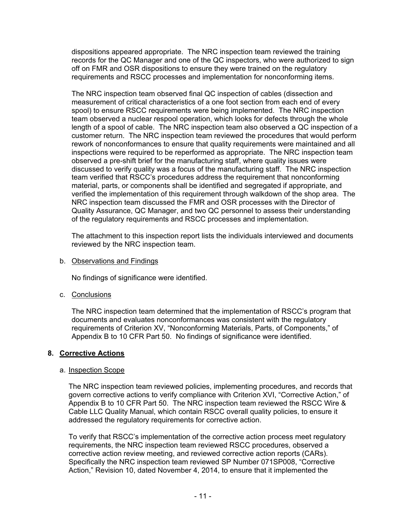dispositions appeared appropriate. The NRC inspection team reviewed the training records for the QC Manager and one of the QC inspectors, who were authorized to sign off on FMR and OSR dispositions to ensure they were trained on the regulatory requirements and RSCC processes and implementation for nonconforming items.

The NRC inspection team observed final QC inspection of cables (dissection and measurement of critical characteristics of a one foot section from each end of every spool) to ensure RSCC requirements were being implemented. The NRC inspection team observed a nuclear respool operation, which looks for defects through the whole length of a spool of cable. The NRC inspection team also observed a QC inspection of a customer return. The NRC inspection team reviewed the procedures that would perform rework of nonconformances to ensure that quality requirements were maintained and all inspections were required to be reperformed as appropriate. The NRC inspection team observed a pre-shift brief for the manufacturing staff, where quality issues were discussed to verify quality was a focus of the manufacturing staff. The NRC inspection team verified that RSCC's procedures address the requirement that nonconforming material, parts, or components shall be identified and segregated if appropriate, and verified the implementation of this requirement through walkdown of the shop area. The NRC inspection team discussed the FMR and OSR processes with the Director of Quality Assurance, QC Manager, and two QC personnel to assess their understanding of the regulatory requirements and RSCC processes and implementation.

The attachment to this inspection report lists the individuals interviewed and documents reviewed by the NRC inspection team.

b. Observations and Findings

No findings of significance were identified.

c. Conclusions

The NRC inspection team determined that the implementation of RSCC's program that documents and evaluates nonconformances was consistent with the regulatory requirements of Criterion XV, "Nonconforming Materials, Parts, of Components," of Appendix B to 10 CFR Part 50. No findings of significance were identified.

# **8. Corrective Actions**

### a. Inspection Scope

The NRC inspection team reviewed policies, implementing procedures, and records that govern corrective actions to verify compliance with Criterion XVI, "Corrective Action," of Appendix B to 10 CFR Part 50. The NRC inspection team reviewed the RSCC Wire & Cable LLC Quality Manual, which contain RSCC overall quality policies, to ensure it addressed the regulatory requirements for corrective action.

To verify that RSCC's implementation of the corrective action process meet regulatory requirements, the NRC inspection team reviewed RSCC procedures, observed a corrective action review meeting, and reviewed corrective action reports (CARs). Specifically the NRC inspection team reviewed SP Number 071SP008, "Corrective Action," Revision 10, dated November 4, 2014, to ensure that it implemented the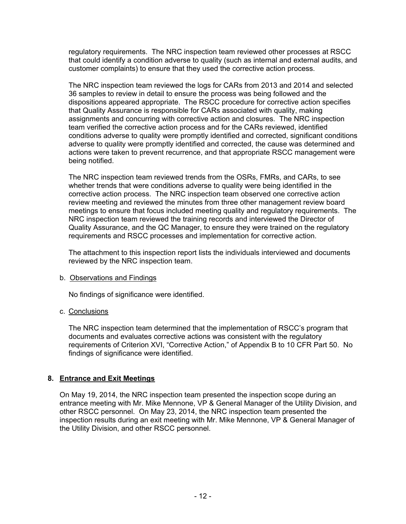regulatory requirements. The NRC inspection team reviewed other processes at RSCC that could identify a condition adverse to quality (such as internal and external audits, and customer complaints) to ensure that they used the corrective action process.

The NRC inspection team reviewed the logs for CARs from 2013 and 2014 and selected 36 samples to review in detail to ensure the process was being followed and the dispositions appeared appropriate. The RSCC procedure for corrective action specifies that Quality Assurance is responsible for CARs associated with quality, making assignments and concurring with corrective action and closures. The NRC inspection team verified the corrective action process and for the CARs reviewed, identified conditions adverse to quality were promptly identified and corrected, significant conditions adverse to quality were promptly identified and corrected, the cause was determined and actions were taken to prevent recurrence, and that appropriate RSCC management were being notified.

The NRC inspection team reviewed trends from the OSRs, FMRs, and CARs, to see whether trends that were conditions adverse to quality were being identified in the corrective action process. The NRC inspection team observed one corrective action review meeting and reviewed the minutes from three other management review board meetings to ensure that focus included meeting quality and regulatory requirements. The NRC inspection team reviewed the training records and interviewed the Director of Quality Assurance, and the QC Manager, to ensure they were trained on the regulatory requirements and RSCC processes and implementation for corrective action.

The attachment to this inspection report lists the individuals interviewed and documents reviewed by the NRC inspection team.

# b. Observations and Findings

No findings of significance were identified.

# c. Conclusions

The NRC inspection team determined that the implementation of RSCC's program that documents and evaluates corrective actions was consistent with the regulatory requirements of Criterion XVI, "Corrective Action," of Appendix B to 10 CFR Part 50. No findings of significance were identified.

# **8. Entrance and Exit Meetings**

On May 19, 2014, the NRC inspection team presented the inspection scope during an entrance meeting with Mr. Mike Mennone, VP & General Manager of the Utility Division, and other RSCC personnel. On May 23, 2014, the NRC inspection team presented the inspection results during an exit meeting with Mr. Mike Mennone, VP & General Manager of the Utility Division, and other RSCC personnel.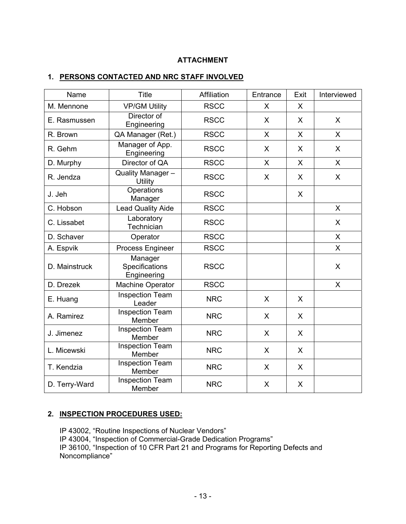# **ATTACHMENT**

# **1. PERSONS CONTACTED AND NRC STAFF INVOLVED**

| Name          | <b>Title</b>                             | Affiliation | Entrance     | Exit | Interviewed  |
|---------------|------------------------------------------|-------------|--------------|------|--------------|
| M. Mennone    | <b>VP/GM Utility</b>                     | <b>RSCC</b> | $\mathsf{X}$ | X    |              |
| E. Rasmussen  | Director of<br>Engineering               | <b>RSCC</b> | X            | X    | X            |
| R. Brown      | QA Manager (Ret.)                        | <b>RSCC</b> | $\mathsf{X}$ | X    | X            |
| R. Gehm       | Manager of App.<br>Engineering           | <b>RSCC</b> | X            | X    | X            |
| D. Murphy     | Director of QA                           | <b>RSCC</b> | $\mathsf{X}$ | X    | $\mathsf{X}$ |
| R. Jendza     | Quality Manager-<br><b>Utility</b>       | <b>RSCC</b> | X            | X    | X            |
| J. Jeh        | Operations<br>Manager                    | <b>RSCC</b> |              | X    |              |
| C. Hobson     | <b>Lead Quality Aide</b>                 | <b>RSCC</b> |              |      | $\sf X$      |
| C. Lissabet   | Laboratory<br>Technician                 | <b>RSCC</b> |              |      | X            |
| D. Schaver    | Operator                                 | <b>RSCC</b> |              |      | $\mathsf{X}$ |
| A. Espvik     | Process Engineer                         | <b>RSCC</b> |              |      | X            |
| D. Mainstruck | Manager<br>Specifications<br>Engineering | <b>RSCC</b> |              |      | X            |
| D. Drezek     | Machine Operator                         | <b>RSCC</b> |              |      | X            |
| E. Huang      | <b>Inspection Team</b><br>Leader         | <b>NRC</b>  | $\sf X$      | X    |              |
| A. Ramirez    | <b>Inspection Team</b><br>Member         | <b>NRC</b>  | X            | X    |              |
| J. Jimenez    | <b>Inspection Team</b><br>Member         | <b>NRC</b>  | X            | X    |              |
| L. Micewski   | <b>Inspection Team</b><br>Member         | <b>NRC</b>  | X            | X    |              |
| T. Kendzia    | Inspection Team<br>Member                | <b>NRC</b>  | X            | X    |              |
| D. Terry-Ward | <b>Inspection Team</b><br>Member         | <b>NRC</b>  | X            | X    |              |

# **2. INSPECTION PROCEDURES USED:**

IP 43002, "Routine Inspections of Nuclear Vendors" IP 43004, "Inspection of Commercial-Grade Dedication Programs" IP 36100, "Inspection of 10 CFR Part 21 and Programs for Reporting Defects and Noncompliance"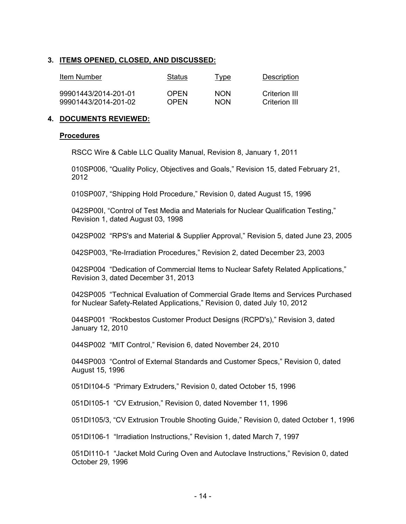# **3. ITEMS OPENED, CLOSED, AND DISCUSSED:**

| Item Number          | Status | Type       | Description   |
|----------------------|--------|------------|---------------|
| 99901443/2014-201-01 | OPFN   | <b>NON</b> | Criterion III |
| 99901443/2014-201-02 | OPFN   | <b>NON</b> | Criterion III |

## **4. DOCUMENTS REVIEWED:**

### **Procedures**

RSCC Wire & Cable LLC Quality Manual, Revision 8, January 1, 2011

010SP006, "Quality Policy, Objectives and Goals," Revision 15, dated February 21, 2012

010SP007, "Shipping Hold Procedure," Revision 0, dated August 15, 1996

042SP00I, "Control of Test Media and Materials for Nuclear Qualification Testing," Revision 1, dated August 03, 1998

042SP002 "RPS's and Material & Supplier Approval," Revision 5, dated June 23, 2005

042SP003, "Re-Irradiation Procedures," Revision 2, dated December 23, 2003

042SP004 "Dedication of Commercial Items to Nuclear Safety Related Applications," Revision 3, dated December 31, 2013

042SP005 "Technical Evaluation of Commercial Grade Items and Services Purchased for Nuclear Safety-Related Applications," Revision 0, dated July 10, 2012

044SP001 "Rockbestos Customer Product Designs (RCPD's)," Revision 3, dated January 12, 2010

044SP002 "MIT Control," Revision 6, dated November 24, 2010

044SP003 "Control of External Standards and Customer Specs," Revision 0, dated August 15, 1996

051DI104-5 "Primary Extruders," Revision 0, dated October 15, 1996

051DI105-1 "CV Extrusion," Revision 0, dated November 11, 1996

051DI105/3, "CV Extrusion Trouble Shooting Guide," Revision 0, dated October 1, 1996

051DI106-1 "Irradiation Instructions," Revision 1, dated March 7, 1997

051DI110-1 "Jacket Mold Curing Oven and Autoclave Instructions," Revision 0, dated October 29, 1996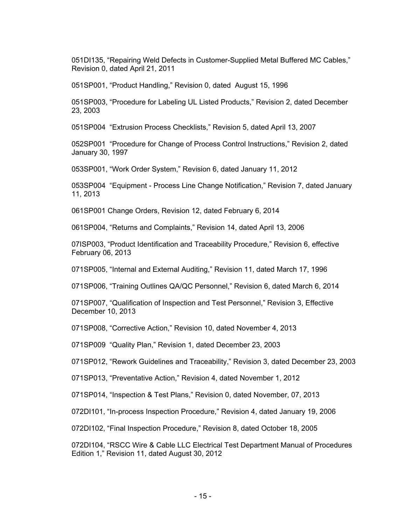051DI135, "Repairing Weld Defects in Customer-Supplied Metal Buffered MC Cables," Revision 0, dated April 21, 2011

051SP001, "Product Handling," Revision 0, dated August 15, 1996

051SP003, "Procedure for Labeling UL Listed Products," Revision 2, dated December 23, 2003

051SP004 "Extrusion Process Checklists," Revision 5, dated April 13, 2007

052SP001 "Procedure for Change of Process Control Instructions," Revision 2, dated January 30, 1997

053SP001, "Work Order System," Revision 6, dated January 11, 2012

053SP004 "Equipment - Process Line Change Notification," Revision 7, dated January 11, 2013

061SP001 Change Orders, Revision 12, dated February 6, 2014

061SP004, "Returns and Complaints," Revision 14, dated April 13, 2006

07ISP003, "Product Identification and Traceability Procedure," Revision 6, effective February 06, 2013

071SP005, "Internal and External Auditing," Revision 11, dated March 17, 1996

071SP006, "Training Outlines QA/QC Personnel," Revision 6, dated March 6, 2014

071SP007, "Qualification of Inspection and Test Personnel," Revision 3, Effective December 10, 2013

071SP008, "Corrective Action," Revision 10, dated November 4, 2013

071SP009 "Quality Plan," Revision 1, dated December 23, 2003

071SP012, "Rework Guidelines and Traceability," Revision 3, dated December 23, 2003

071SP013, "Preventative Action," Revision 4, dated November 1, 2012

071SP014, "Inspection & Test Plans," Revision 0, dated November, 07, 2013

072DI101, "In-process Inspection Procedure," Revision 4, dated January 19, 2006

072DI102, "Final Inspection Procedure," Revision 8, dated October 18, 2005

072DI104, "RSCC Wire & Cable LLC Electrical Test Department Manual of Procedures Edition 1," Revision 11, dated August 30, 2012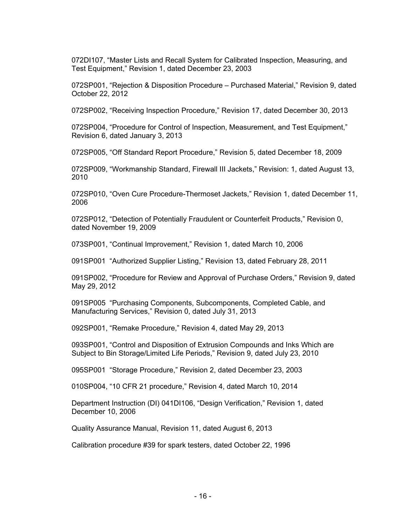072DI107, "Master Lists and Recall System for Calibrated Inspection, Measuring, and Test Equipment," Revision 1, dated December 23, 2003

072SP001, "Rejection & Disposition Procedure – Purchased Material," Revision 9, dated October 22, 2012

072SP002, "Receiving Inspection Procedure," Revision 17, dated December 30, 2013

072SP004, "Procedure for Control of Inspection, Measurement, and Test Equipment," Revision 6, dated January 3, 2013

072SP005, "Off Standard Report Procedure," Revision 5, dated December 18, 2009

072SP009, "Workmanship Standard, Firewall III Jackets," Revision: 1, dated August 13, 2010

072SP010, "Oven Cure Procedure-Thermoset Jackets," Revision 1, dated December 11, 2006

072SP012, "Detection of Potentially Fraudulent or Counterfeit Products," Revision 0, dated November 19, 2009

073SP001, "Continual Improvement," Revision 1, dated March 10, 2006

091SP001 "Authorized Supplier Listing," Revision 13, dated February 28, 2011

091SP002, "Procedure for Review and Approval of Purchase Orders," Revision 9, dated May 29, 2012

091SP005 "Purchasing Components, Subcomponents, Completed Cable, and Manufacturing Services," Revision 0, dated July 31, 2013

092SP001, "Remake Procedure," Revision 4, dated May 29, 2013

093SP001, "Control and Disposition of Extrusion Compounds and Inks Which are Subject to Bin Storage/Limited Life Periods," Revision 9, dated July 23, 2010

095SP001 "Storage Procedure," Revision 2, dated December 23, 2003

010SP004, "10 CFR 21 procedure," Revision 4, dated March 10, 2014

Department Instruction (DI) 041DI106, "Design Verification," Revision 1, dated December 10, 2006

Quality Assurance Manual, Revision 11, dated August 6, 2013

Calibration procedure #39 for spark testers, dated October 22, 1996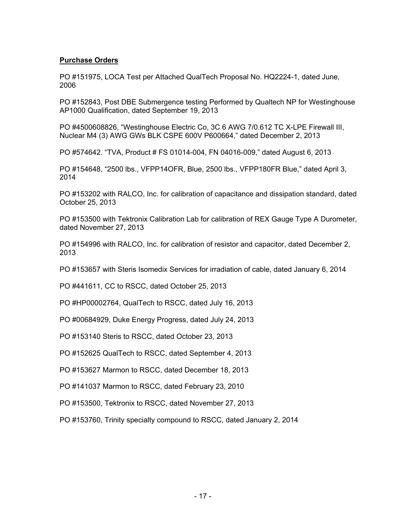## **Purchase Orders**

PO #151975, LOCA Test per Attached QualTech Proposal No. HQ2224-1, dated June, 2006

PO #152843, Post DBE Submergence testing Performed by Qualtech NP for Westinghouse AP1000 Qualification, dated September 19, 2013

PO #4500608826, "Westinghouse Electric Co, 3C 6 AWG 7/0.612 TC X-LPE Firewall III, Nuclear M4 (3) AWG GWs BLK CSPE 600V P600664," dated December 2, 2013

PO #574642. "TVA, Product # FS 01014-004, FN 04016-009," dated August 6, 2013

PO #154648, "2500 lbs., VFPP14OFR, Blue, 2500 lbs., VFPP180FR Blue," dated April 3, 2014

PO #153202 with RALCO, Inc. for calibration of capacitance and dissipation standard, dated October 25, 2013

PO #153500 with Tektronix Calibration Lab for calibration of REX Gauge Type A Durometer, dated November 27, 2013

PO #154996 with RALCO, Inc. for calibration of resistor and capacitor, dated December 2, 2013

PO #153657 with Steris Isomedix Services for irradiation of cable, dated January 6, 2014

PO #441611, CC to RSCC, dated October 25, 2013

PO #HP00002764, QualTech to RSCC, dated July 16, 2013

PO #00684929, Duke Energy Progress, dated July 24, 2013

PO #153140 Steris to RSCC, dated October 23, 2013

PO #152625 QualTech to RSCC, dated September 4, 2013

PO #153627 Marmon to RSCC, dated December 18, 2013

PO #141037 Marmon to RSCC, dated February 23, 2010

PO #153500, Tektronix to RSCC, dated November 27, 2013

PO #153760, Trinity specialty compound to RSCC, dated January 2, 2014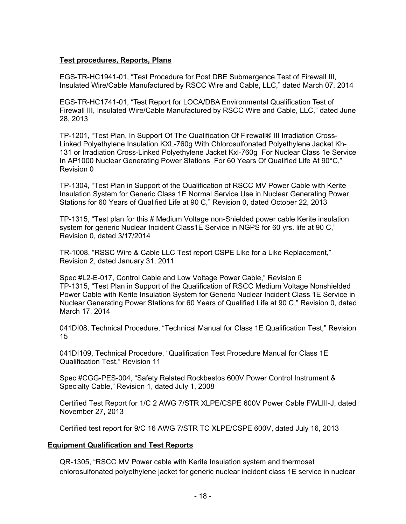# **Test procedures, Reports, Plans**

EGS-TR-HC1941-01, "Test Procedure for Post DBE Submergence Test of Firewall III, Insulated Wire/Cable Manufactured by RSCC Wire and Cable, LLC," dated March 07, 2014

EGS-TR-HC1741-01, "Test Report for LOCA/DBA Environmental Qualification Test of Firewall III, Insulated Wire/Cable Manufactured by RSCC Wire and Cable, LLC," dated June 28, 2013

TP-1201, "Test Plan, In Support Of The Qualification Of Firewall® III Irradiation Cross-Linked Polyethylene Insulation KXL-760g With Chlorosulfonated Polyethylene Jacket Kh-131 or Irradiation Cross-Linked Polyethylene Jacket Kxl-760g For Nuclear Class 1e Service In AP1000 Nuclear Generating Power Stations For 60 Years Of Qualified Life At 90°C," Revision 0

TP-1304, "Test Plan in Support of the Qualification of RSCC MV Power Cable with Kerite Insulation System for Generic Class 1E Normal Service Use in Nuclear Generating Power Stations for 60 Years of Qualified Life at 90 C," Revision 0, dated October 22, 2013

TP-1315, "Test plan for this # Medium Voltage non-Shielded power cable Kerite insulation system for generic Nuclear Incident Class1E Service in NGPS for 60 yrs. life at 90 C," Revision 0, dated 3/17/2014

TR-1008, "RSSC Wire & Cable LLC Test report CSPE Like for a Like Replacement," Revision 2, dated January 31, 2011

Spec #L2-E-017, Control Cable and Low Voltage Power Cable," Revision 6 TP-1315, "Test Plan in Support of the Qualification of RSCC Medium Voltage Nonshielded Power Cable with Kerite Insulation System for Generic Nuclear Incident Class 1E Service in Nuclear Generating Power Stations for 60 Years of Qualified Life at 90 C," Revision 0, dated March 17, 2014

041DI08, Technical Procedure, "Technical Manual for Class 1E Qualification Test," Revision 15

041DI109, Technical Procedure, "Qualification Test Procedure Manual for Class 1E Qualification Test," Revision 11

Spec #CGG-PES-004, "Safety Related Rockbestos 600V Power Control Instrument & Specialty Cable," Revision 1, dated July 1, 2008

Certified Test Report for 1/C 2 AWG 7/STR XLPE/CSPE 600V Power Cable FWLIII-J, dated November 27, 2013

Certified test report for 9/C 16 AWG 7/STR TC XLPE/CSPE 600V, dated July 16, 2013

# **Equipment Qualification and Test Reports**

QR-1305, "RSCC MV Power cable with Kerite Insulation system and thermoset chlorosulfonated polyethylene jacket for generic nuclear incident class 1E service in nuclear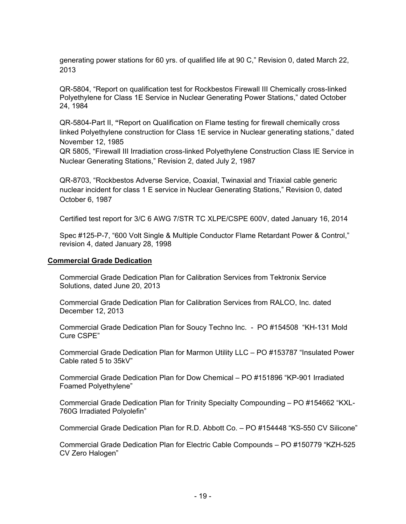generating power stations for 60 yrs. of qualified life at 90 C," Revision 0, dated March 22, 2013

QR-5804, "Report on qualification test for Rockbestos Firewall III Chemically cross-linked Polyethylene for Class 1E Service in Nuclear Generating Power Stations," dated October 24, 1984

QR-5804-Part II, **"**Report on Qualification on Flame testing for firewall chemically cross linked Polyethylene construction for Class 1E service in Nuclear generating stations," dated November 12, 1985

QR 5805, "Firewall III Irradiation cross-linked Polyethylene Construction Class IE Service in Nuclear Generating Stations," Revision 2, dated July 2, 1987

QR-8703, "Rockbestos Adverse Service, Coaxial, Twinaxial and Triaxial cable generic nuclear incident for class 1 E service in Nuclear Generating Stations," Revision 0, dated October 6, 1987

Certified test report for 3/C 6 AWG 7/STR TC XLPE/CSPE 600V, dated January 16, 2014

Spec #125-P-7, "600 Volt Single & Multiple Conductor Flame Retardant Power & Control," revision 4, dated January 28, 1998

## **Commercial Grade Dedication**

Commercial Grade Dedication Plan for Calibration Services from Tektronix Service Solutions, dated June 20, 2013

Commercial Grade Dedication Plan for Calibration Services from RALCO, Inc. dated December 12, 2013

Commercial Grade Dedication Plan for Soucy Techno Inc. - PO #154508 "KH-131 Mold Cure CSPE"

Commercial Grade Dedication Plan for Marmon Utility LLC – PO #153787 "Insulated Power Cable rated 5 to 35kV"

Commercial Grade Dedication Plan for Dow Chemical – PO #151896 "KP-901 Irradiated Foamed Polyethylene"

Commercial Grade Dedication Plan for Trinity Specialty Compounding – PO #154662 "KXL-760G Irradiated Polyolefin"

Commercial Grade Dedication Plan for R.D. Abbott Co. – PO #154448 "KS-550 CV Silicone"

Commercial Grade Dedication Plan for Electric Cable Compounds – PO #150779 "KZH-525 CV Zero Halogen"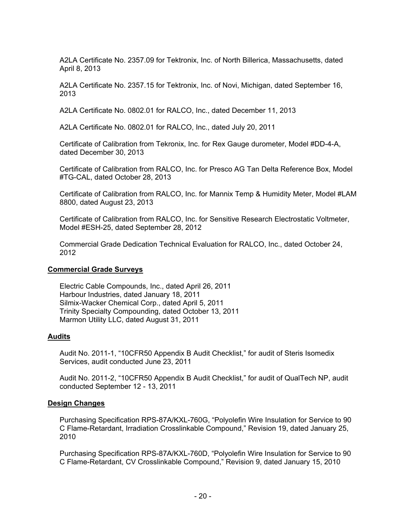A2LA Certificate No. 2357.09 for Tektronix, Inc. of North Billerica, Massachusetts, dated April 8, 2013

A2LA Certificate No. 2357.15 for Tektronix, Inc. of Novi, Michigan, dated September 16, 2013

A2LA Certificate No. 0802.01 for RALCO, Inc., dated December 11, 2013

A2LA Certificate No. 0802.01 for RALCO, Inc., dated July 20, 2011

Certificate of Calibration from Tekronix, Inc. for Rex Gauge durometer, Model #DD-4-A, dated December 30, 2013

Certificate of Calibration from RALCO, Inc. for Presco AG Tan Delta Reference Box, Model #TG-CAL, dated October 28, 2013

Certificate of Calibration from RALCO, Inc. for Mannix Temp & Humidity Meter, Model #LAM 8800, dated August 23, 2013

Certificate of Calibration from RALCO, Inc. for Sensitive Research Electrostatic Voltmeter, Model #ESH-25, dated September 28, 2012

Commercial Grade Dedication Technical Evaluation for RALCO, Inc., dated October 24, 2012

# **Commercial Grade Surveys**

Electric Cable Compounds, Inc., dated April 26, 2011 Harbour Industries, dated January 18, 2011 Silmix-Wacker Chemical Corp., dated April 5, 2011 Trinity Specialty Compounding, dated October 13, 2011 Marmon Utility LLC, dated August 31, 2011

# **Audits**

Audit No. 2011-1, "10CFR50 Appendix B Audit Checklist," for audit of Steris Isomedix Services, audit conducted June 23, 2011

Audit No. 2011-2, "10CFR50 Appendix B Audit Checklist," for audit of QualTech NP, audit conducted September 12 - 13, 2011

# **Design Changes**

Purchasing Specification RPS-87A/KXL-760G, "Polyolefin Wire Insulation for Service to 90 C Flame-Retardant, Irradiation Crosslinkable Compound," Revision 19, dated January 25, 2010

Purchasing Specification RPS-87A/KXL-760D, "Polyolefin Wire Insulation for Service to 90 C Flame-Retardant, CV Crosslinkable Compound," Revision 9, dated January 15, 2010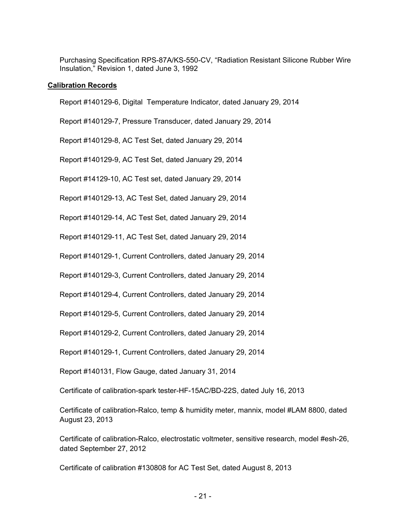Purchasing Specification RPS-87A/KS-550-CV, "Radiation Resistant Silicone Rubber Wire Insulation," Revision 1, dated June 3, 1992

## **Calibration Records**

Report #140129-6, Digital Temperature Indicator, dated January 29, 2014

Report #140129-7, Pressure Transducer, dated January 29, 2014

Report #140129-8, AC Test Set, dated January 29, 2014

Report #140129-9, AC Test Set, dated January 29, 2014

Report #14129-10, AC Test set, dated January 29, 2014

Report #140129-13, AC Test Set, dated January 29, 2014

Report #140129-14, AC Test Set, dated January 29, 2014

Report #140129-11, AC Test Set, dated January 29, 2014

Report #140129-1, Current Controllers, dated January 29, 2014

Report #140129-3, Current Controllers, dated January 29, 2014

Report #140129-4, Current Controllers, dated January 29, 2014

Report #140129-5, Current Controllers, dated January 29, 2014

Report #140129-2, Current Controllers, dated January 29, 2014

Report #140129-1, Current Controllers, dated January 29, 2014

Report #140131, Flow Gauge, dated January 31, 2014

Certificate of calibration-spark tester-HF-15AC/BD-22S, dated July 16, 2013

Certificate of calibration-Ralco, temp & humidity meter, mannix, model #LAM 8800, dated August 23, 2013

Certificate of calibration-Ralco, electrostatic voltmeter, sensitive research, model #esh-26, dated September 27, 2012

Certificate of calibration #130808 for AC Test Set, dated August 8, 2013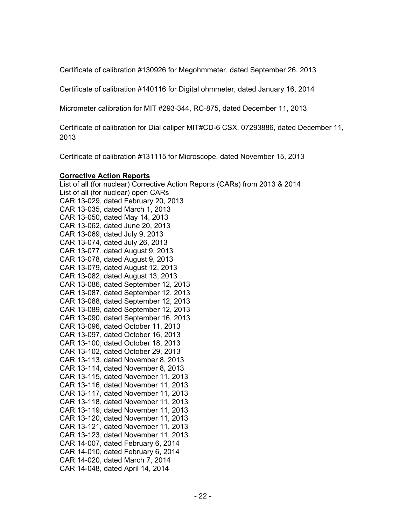Certificate of calibration #130926 for Megohmmeter, dated September 26, 2013

Certificate of calibration #140116 for Digital ohmmeter, dated January 16, 2014

Micrometer calibration for MIT #293-344, RC-875, dated December 11, 2013

Certificate of calibration for Dial caliper MIT#CD-6 CSX, 07293886, dated December 11, 2013

Certificate of calibration #131115 for Microscope, dated November 15, 2013

### **Corrective Action Reports**

List of all (for nuclear) Corrective Action Reports (CARs) from 2013 & 2014 List of all (for nuclear) open CARs CAR 13-029, dated February 20, 2013 CAR 13-035, dated March 1, 2013 CAR 13-050, dated May 14, 2013 CAR 13-062, dated June 20, 2013 CAR 13-069, dated July 9, 2013 CAR 13-074, dated July 26, 2013 CAR 13-077, dated August 9, 2013 CAR 13-078, dated August 9, 2013 CAR 13-079, dated August 12, 2013 CAR 13-082, dated August 13, 2013 CAR 13-086, dated September 12, 2013 CAR 13-087, dated September 12, 2013 CAR 13-088, dated September 12, 2013 CAR 13-089, dated September 12, 2013 CAR 13-090, dated September 16, 2013 CAR 13-096, dated October 11, 2013 CAR 13-097, dated October 16, 2013 CAR 13-100, dated October 18, 2013 CAR 13-102, dated October 29, 2013 CAR 13-113, dated November 8, 2013 CAR 13-114, dated November 8, 2013 CAR 13-115, dated November 11, 2013 CAR 13-116, dated November 11, 2013 CAR 13-117, dated November 11, 2013 CAR 13-118, dated November 11, 2013 CAR 13-119, dated November 11, 2013 CAR 13-120, dated November 11, 2013 CAR 13-121, dated November 11, 2013 CAR 13-123, dated November 11, 2013 CAR 14-007, dated February 6, 2014 CAR 14-010, dated February 6, 2014 CAR 14-020, dated March 7, 2014 CAR 14-048, dated April 14, 2014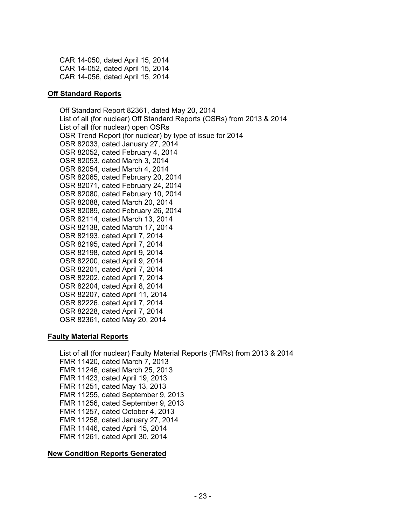CAR 14-050, dated April 15, 2014 CAR 14-052, dated April 15, 2014 CAR 14-056, dated April 15, 2014

### **Off Standard Reports**

Off Standard Report 82361, dated May 20, 2014 List of all (for nuclear) Off Standard Reports (OSRs) from 2013 & 2014 List of all (for nuclear) open OSRs OSR Trend Report (for nuclear) by type of issue for 2014 OSR 82033, dated January 27, 2014 OSR 82052, dated February 4, 2014 OSR 82053, dated March 3, 2014 OSR 82054, dated March 4, 2014 OSR 82065, dated February 20, 2014 OSR 82071, dated February 24, 2014 OSR 82080, dated February 10, 2014 OSR 82088, dated March 20, 2014 OSR 82089, dated February 26, 2014 OSR 82114, dated March 13, 2014 OSR 82138, dated March 17, 2014 OSR 82193, dated April 7, 2014 OSR 82195, dated April 7, 2014 OSR 82198, dated April 9, 2014 OSR 82200, dated April 9, 2014 OSR 82201, dated April 7, 2014 OSR 82202, dated April 7, 2014 OSR 82204, dated April 8, 2014 OSR 82207, dated April 11, 2014 OSR 82226, dated April 7, 2014 OSR 82228, dated April 7, 2014

### OSR 82361, dated May 20, 2014

### **Faulty Material Reports**

List of all (for nuclear) Faulty Material Reports (FMRs) from 2013 & 2014 FMR 11420, dated March 7, 2013 FMR 11246, dated March 25, 2013 FMR 11423, dated April 19, 2013 FMR 11251, dated May 13, 2013 FMR 11255, dated September 9, 2013 FMR 11256, dated September 9, 2013 FMR 11257, dated October 4, 2013 FMR 11258, dated January 27, 2014 FMR 11446, dated April 15, 2014 FMR 11261, dated April 30, 2014

# **New Condition Reports Generated**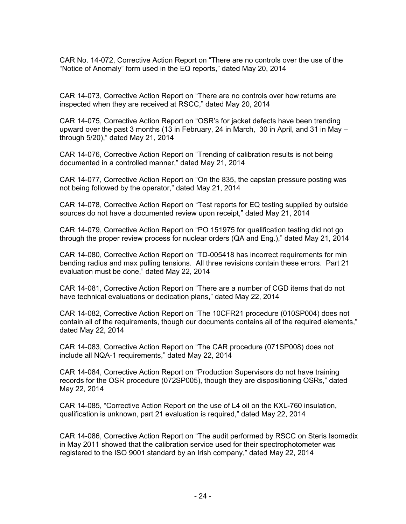CAR No. 14-072, Corrective Action Report on "There are no controls over the use of the "Notice of Anomaly" form used in the EQ reports," dated May 20, 2014

CAR 14-073, Corrective Action Report on "There are no controls over how returns are inspected when they are received at RSCC," dated May 20, 2014

CAR 14-075, Corrective Action Report on "OSR's for jacket defects have been trending upward over the past 3 months (13 in February, 24 in March, 30 in April, and 31 in May – through 5/20)," dated May 21, 2014

CAR 14-076, Corrective Action Report on "Trending of calibration results is not being documented in a controlled manner," dated May 21, 2014

CAR 14-077, Corrective Action Report on "On the 835, the capstan pressure posting was not being followed by the operator," dated May 21, 2014

CAR 14-078, Corrective Action Report on "Test reports for EQ testing supplied by outside sources do not have a documented review upon receipt," dated May 21, 2014

CAR 14-079, Corrective Action Report on "PO 151975 for qualification testing did not go through the proper review process for nuclear orders (QA and Eng.)," dated May 21, 2014

CAR 14-080, Corrective Action Report on "TD-005418 has incorrect requirements for min bending radius and max pulling tensions. All three revisions contain these errors. Part 21 evaluation must be done," dated May 22, 2014

CAR 14-081, Corrective Action Report on "There are a number of CGD items that do not have technical evaluations or dedication plans," dated May 22, 2014

CAR 14-082, Corrective Action Report on "The 10CFR21 procedure (010SP004) does not contain all of the requirements, though our documents contains all of the required elements," dated May 22, 2014

CAR 14-083, Corrective Action Report on "The CAR procedure (071SP008) does not include all NQA-1 requirements," dated May 22, 2014

CAR 14-084, Corrective Action Report on "Production Supervisors do not have training records for the OSR procedure (072SP005), though they are dispositioning OSRs," dated May 22, 2014

CAR 14-085, "Corrective Action Report on the use of L4 oil on the KXL-760 insulation, qualification is unknown, part 21 evaluation is required," dated May 22, 2014

CAR 14-086, Corrective Action Report on "The audit performed by RSCC on Steris Isomedix in May 2011 showed that the calibration service used for their spectrophotometer was registered to the ISO 9001 standard by an Irish company," dated May 22, 2014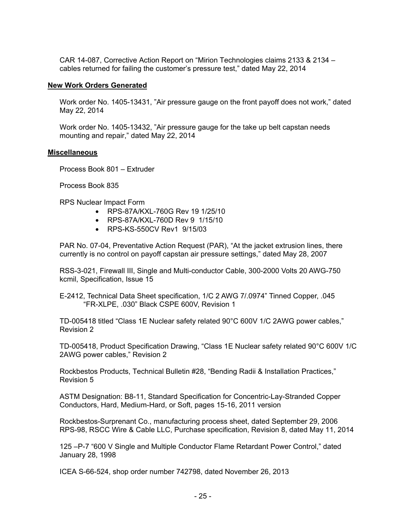CAR 14-087, Corrective Action Report on "Mirion Technologies claims 2133 & 2134 – cables returned for failing the customer's pressure test," dated May 22, 2014

### **New Work Orders Generated**

Work order No. 1405-13431, "Air pressure gauge on the front payoff does not work," dated May 22, 2014

Work order No. 1405-13432, "Air pressure gauge for the take up belt capstan needs mounting and repair," dated May 22, 2014

#### **Miscellaneous**

Process Book 801 – Extruder

Process Book 835

RPS Nuclear Impact Form

- RPS-87A/KXL-760G Rev 19 1/25/10
- RPS-87A/KXL-760D Rev 9 1/15/10
- RPS-KS-550CV Rev1 9/15/03

PAR No. 07-04, Preventative Action Request (PAR), "At the jacket extrusion lines, there currently is no control on payoff capstan air pressure settings," dated May 28, 2007

RSS-3-021, Firewall III, Single and Multi-conductor Cable, 300-2000 Volts 20 AWG-750 kcmil, Specification, Issue 15

E-2412, Technical Data Sheet specification, 1/C 2 AWG 7/.0974" Tinned Copper, .045 "FR-XLPE, .030" Black CSPE 600V, Revision 1

TD-005418 titled "Class 1E Nuclear safety related 90°C 600V 1/C 2AWG power cables," Revision 2

TD-005418, Product Specification Drawing, "Class 1E Nuclear safety related 90°C 600V 1/C 2AWG power cables," Revision 2

Rockbestos Products, Technical Bulletin #28, "Bending Radii & Installation Practices," Revision 5

ASTM Designation: B8-11, Standard Specification for Concentric-Lay-Stranded Copper Conductors, Hard, Medium-Hard, or Soft, pages 15-16, 2011 version

Rockbestos-Surprenant Co., manufacturing process sheet, dated September 29, 2006 RPS-98, RSCC Wire & Cable LLC, Purchase specification, Revision 8, dated May 11, 2014

125 –P-7 "600 V Single and Multiple Conductor Flame Retardant Power Control," dated January 28, 1998

ICEA S-66-524, shop order number 742798, dated November 26, 2013